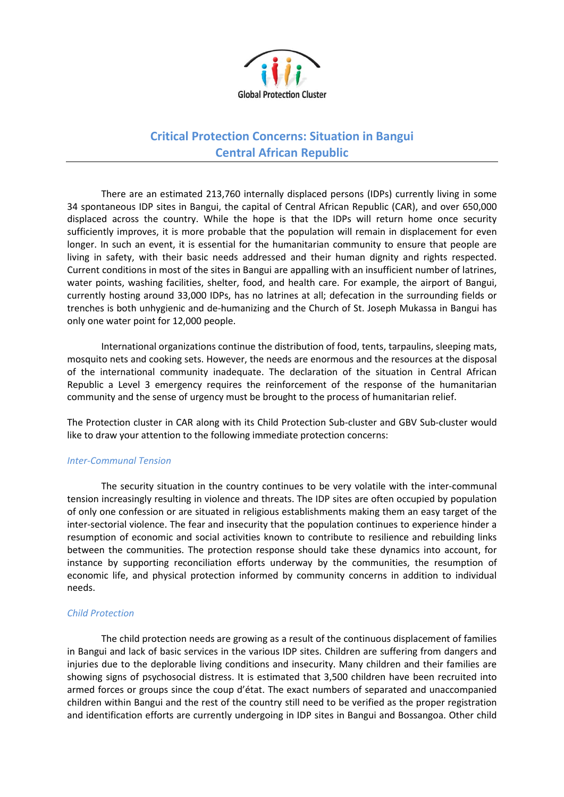

## **Critical Protection Concerns: Situation in Bangui Central African Republic**

There are an estimated 213,760 internally displaced persons (IDPs) currently living in some 34 spontaneous IDP sites in Bangui, the capital of Central African Republic (CAR), and over 650,000 displaced across the country. While the hope is that the IDPs will return home once security sufficiently improves, it is more probable that the population will remain in displacement for even longer. In such an event, it is essential for the humanitarian community to ensure that people are living in safety, with their basic needs addressed and their human dignity and rights respected. Current conditions in most of the sites in Bangui are appalling with an insufficient number of latrines, water points, washing facilities, shelter, food, and health care. For example, the airport of Bangui, currently hosting around 33,000 IDPs, has no latrines at all; defecation in the surrounding fields or trenches is both unhygienic and de-humanizing and the Church of St. Joseph Mukassa in Bangui has only one water point for 12,000 people.

International organizations continue the distribution of food, tents, tarpaulins, sleeping mats, mosquito nets and cooking sets. However, the needs are enormous and the resources at the disposal of the international community inadequate. The declaration of the situation in Central African Republic a Level 3 emergency requires the reinforcement of the response of the humanitarian community and the sense of urgency must be brought to the process of humanitarian relief.

The Protection cluster in CAR along with its Child Protection Sub-cluster and GBV Sub-cluster would like to draw your attention to the following immediate protection concerns:

## *Inter-Communal Tension*

The security situation in the country continues to be very volatile with the inter-communal tension increasingly resulting in violence and threats. The IDP sites are often occupied by population of only one confession or are situated in religious establishments making them an easy target of the inter-sectorial violence. The fear and insecurity that the population continues to experience hinder a resumption of economic and social activities known to contribute to resilience and rebuilding links between the communities. The protection response should take these dynamics into account, for instance by supporting reconciliation efforts underway by the communities, the resumption of economic life, and physical protection informed by community concerns in addition to individual needs.

## *Child Protection*

The child protection needs are growing as a result of the continuous displacement of families in Bangui and lack of basic services in the various IDP sites. Children are suffering from dangers and injuries due to the deplorable living conditions and insecurity. Many children and their families are showing signs of psychosocial distress. It is estimated that 3,500 children have been recruited into armed forces or groups since the coup d'état. The exact numbers of separated and unaccompanied children within Bangui and the rest of the country still need to be verified as the proper registration and identification efforts are currently undergoing in IDP sites in Bangui and Bossangoa. Other child